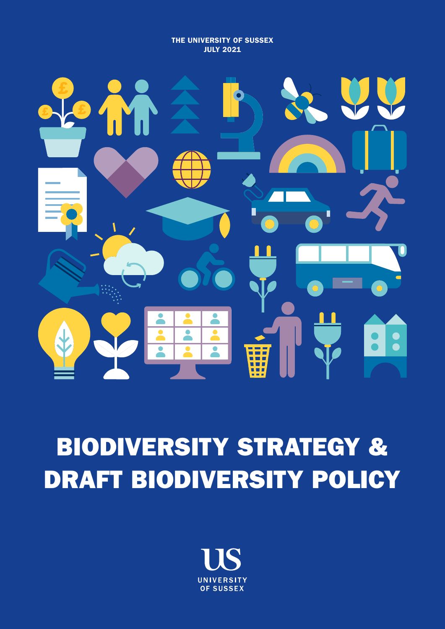THE UNIVERSITY OF SUSSEX JULY 2021



# BIODIVERSITY STRATEGY & DRAFT BIODIVERSITY POLICY

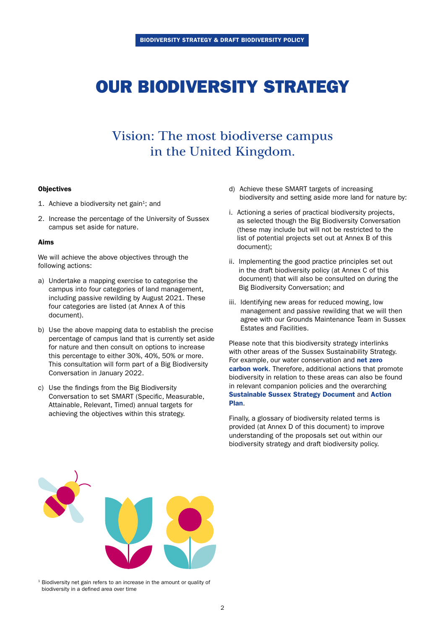## OUR BIODIVERSITY STRATEGY

## Vision: The most biodiverse campus in the United Kingdom.

#### **Objectives**

- 1. Achieve a biodiversity net gain<sup>1</sup>; and
- 2. Increase the percentage of the University of Sussex campus set aside for nature.

#### Aims

We will achieve the above objectives through the following actions:

- a) Undertake a mapping exercise to categorise the campus into four categories of land management, including passive rewilding by August 2021. These four categories are listed (at Annex A of this document).
- b) Use the above mapping data to establish the precise percentage of campus land that is currently set aside for nature and then consult on options to increase this percentage to either 30%, 40%, 50% or more. This consultation will form part of a Big Biodiversity Conversation in January 2022.
- c) Use the findings from the Big Biodiversity Conversation to set SMART (Specific, Measurable, Attainable, Relevant, Timed) annual targets for achieving the objectives within this strategy.
- d) Achieve these SMART targets of increasing biodiversity and setting aside more land for nature by:
- i. Actioning a series of practical biodiversity projects, as selected though the Big Biodiversity Conversation (these may include but will not be restricted to the list of potential projects set out at Annex B of this document);
- ii. Implementing the good practice principles set out in the draft biodiversity policy (at Annex C of this document) that will also be consulted on during the Big Biodiversity Conversation; and
- iii. Identifying new areas for reduced mowing, low management and passive rewilding that we will then agree with our Grounds Maintenance Team in Sussex Estates and Facilities.

Please note that this biodiversity strategy interlinks with other areas of the Sussex Sustainability Strategy. For example, our water conservation and net zero [carbon work](https://www.sussex.ac.uk/about/sustainable-university/policy-and-strategy/strategy/decarbonising-the-economy/net-zero-by-2035). Therefore, additional actions that promote biodiversity in relation to these areas can also be found in relevant companion policies and the overarching [Sustainable Sussex Strategy Document](https://www.sussex.ac.uk/webteam/gateway/file.php?name=4904-sustainability-strategy-final-30june-2nd.pdf&site=271) and [Action](https://www.sussex.ac.uk/about/sustainable-university/policy-and-strategy/strategy-action-plan)  [Plan](https://www.sussex.ac.uk/about/sustainable-university/policy-and-strategy/strategy-action-plan).

Finally, a glossary of biodiversity related terms is provided (at Annex D of this document) to improve understanding of the proposals set out within our biodiversity strategy and draft biodiversity policy.



<sup>1</sup> Biodiversity net gain refers to an increase in the amount or quality of biodiversity in a defined area over time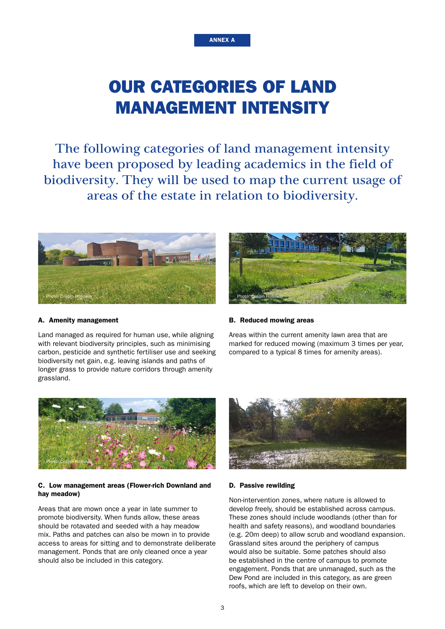## OUR CATEGORIES OF LAND MANAGEMENT INTENSITY

ANNEX A

The following categories of land management intensity have been proposed by leading academics in the field of biodiversity. They will be used to map the current usage of areas of the estate in relation to biodiversity.



#### A. Amenity management

Land managed as required for human use, while aligning with relevant biodiversity principles, such as minimising carbon, pesticide and synthetic fertiliser use and seeking biodiversity net gain, e.g. leaving islands and paths of longer grass to provide nature corridors through amenity grassland.



#### B. Reduced mowing areas

Areas within the current amenity lawn area that are marked for reduced mowing (maximum 3 times per year, compared to a typical 8 times for amenity areas).



#### C. Low management areas (Flower-rich Downland and hay meadow)

Areas that are mown once a year in late summer to promote biodiversity. When funds allow, these areas should be rotavated and seeded with a hay meadow mix. Paths and patches can also be mown in to provide access to areas for sitting and to demonstrate deliberate management. Ponds that are only cleaned once a year should also be included in this category.



#### D. Passive rewilding

Non-intervention zones, where nature is allowed to develop freely, should be established across campus. These zones should include woodlands (other than for health and safety reasons), and woodland boundaries (e.g. 20m deep) to allow scrub and woodland expansion. Grassland sites around the periphery of campus would also be suitable. Some patches should also be established in the centre of campus to promote engagement. Ponds that are unmanaged, such as the Dew Pond are included in this category, as are green roofs, which are left to develop on their own.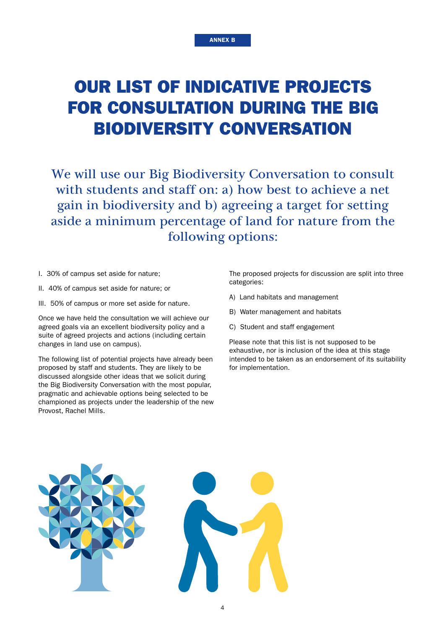## OUR LIST OF INDICATIVE PROJECTS FOR CONSULTATION DURING THE BIG BIODIVERSITY CONVERSATION

We will use our Big Biodiversity Conversation to consult with students and staff on: a) how best to achieve a net gain in biodiversity and b) agreeing a target for setting aside a minimum percentage of land for nature from the following options:

- I. 30% of campus set aside for nature;
- II. 40% of campus set aside for nature; or
- III. 50% of campus or more set aside for nature.

Once we have held the consultation we will achieve our agreed goals via an excellent biodiversity policy and a suite of agreed projects and actions (including certain changes in land use on campus).

The following list of potential projects have already been proposed by staff and students. They are likely to be discussed alongside other ideas that we solicit during the Big Biodiversity Conversation with the most popular, pragmatic and achievable options being selected to be championed as projects under the leadership of the new Provost, Rachel Mills.

The proposed projects for discussion are split into three categories:

- A) Land habitats and management
- B) Water management and habitats
- C) Student and staff engagement

Please note that this list is not supposed to be exhaustive, nor is inclusion of the idea at this stage intended to be taken as an endorsement of its suitability for implementation.

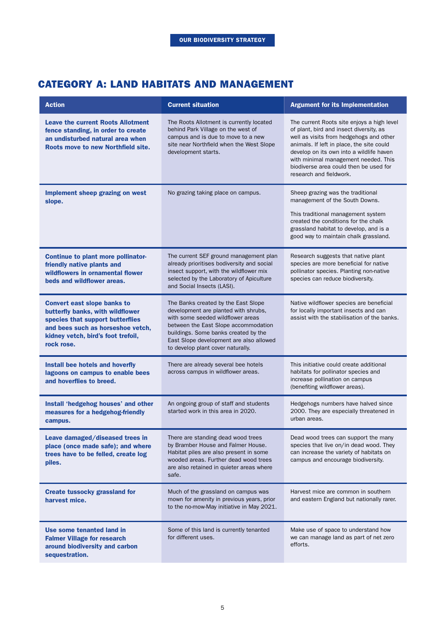### CATEGORY A: LAND HABITATS AND MANAGEMENT

| <b>Action</b>                                                                                                                                                                                       | <b>Current situation</b>                                                                                                                                                                                                                                                         | <b>Argument for its Implementation</b>                                                                                                                                                                                                                                                                                                 |
|-----------------------------------------------------------------------------------------------------------------------------------------------------------------------------------------------------|----------------------------------------------------------------------------------------------------------------------------------------------------------------------------------------------------------------------------------------------------------------------------------|----------------------------------------------------------------------------------------------------------------------------------------------------------------------------------------------------------------------------------------------------------------------------------------------------------------------------------------|
| <b>Leave the current Roots Allotment</b><br>fence standing, in order to create<br>an undisturbed natural area when<br>Roots move to new Northfield site.                                            | The Roots Allotment is currently located<br>behind Park Village on the west of<br>campus and is due to move to a new<br>site near Northfield when the West Slope<br>development starts.                                                                                          | The current Roots site enjoys a high level<br>of plant, bird and insect diversity, as<br>well as visits from hedgehogs and other<br>animals. If left in place, the site could<br>develop on its own into a wildlife haven<br>with minimal management needed. This<br>biodiverse area could then be used for<br>research and fieldwork. |
| Implement sheep grazing on west<br>slope.                                                                                                                                                           | No grazing taking place on campus.                                                                                                                                                                                                                                               | Sheep grazing was the traditional<br>management of the South Downs.<br>This traditional management system<br>created the conditions for the chalk<br>grassland habitat to develop, and is a<br>good way to maintain chalk grassland.                                                                                                   |
| <b>Continue to plant more pollinator-</b><br>friendly native plants and<br>wildflowers in ornamental flower<br>beds and wildflower areas.                                                           | The current SEF ground management plan<br>already prioritises bodiversity and social<br>insect support, with the wildflower mix<br>selected by the Laboratory of Apiculture<br>and Social Insects (LASI).                                                                        | Research suggests that native plant<br>species are more beneficial for native<br>pollinator species. Planting non-native<br>species can reduce biodiversity.                                                                                                                                                                           |
| <b>Convert east slope banks to</b><br>butterfly banks, with wildflower<br>species that support butterflies<br>and bees such as horseshoe vetch,<br>kidney vetch, bird's foot trefoil,<br>rock rose. | The Banks created by the East Slope<br>development are planted with shrubs,<br>with some seeded wildflower areas<br>between the East Slope accommodation<br>buildings. Some banks created by the<br>East Slope development are also allowed<br>to develop plant cover naturally. | Native wildflower species are beneficial<br>for locally important insects and can<br>assist with the stabilisation of the banks.                                                                                                                                                                                                       |
| Install bee hotels and hoverfly<br>lagoons on campus to enable bees<br>and hoverflies to breed.                                                                                                     | There are already several bee hotels<br>across campus in wildflower areas.                                                                                                                                                                                                       | This initiative could create additional<br>habitats for pollinator species and<br>increase pollination on campus<br>(benefiting wildflower areas).                                                                                                                                                                                     |
| Install 'hedgehog houses' and other<br>measures for a hedgehog-friendly<br>campus.                                                                                                                  | An ongoing group of staff and students<br>started work in this area in 2020.                                                                                                                                                                                                     | Hedgehogs numbers have halved since<br>2000. They are especially threatened in<br>urban areas.                                                                                                                                                                                                                                         |
| Leave damaged/diseased trees in<br>place (once made safe); and where<br>trees have to be felled, create log<br>piles.                                                                               | There are standing dead wood trees<br>by Bramber House and Falmer House.<br>Habitat piles are also present in some<br>wooded areas. Further dead wood trees<br>are also retained in quieter areas where<br>safe.                                                                 | Dead wood trees can support the many<br>species that live on/in dead wood. They<br>can increase the variety of habitats on<br>campus and encourage biodiversity.                                                                                                                                                                       |
| <b>Create tussocky grassland for</b><br>harvest mice.                                                                                                                                               | Much of the grassland on campus was<br>mown for amenity in previous years, prior<br>to the no-mow-May initiative in May 2021.                                                                                                                                                    | Harvest mice are common in southern<br>and eastern England but nationally rarer.                                                                                                                                                                                                                                                       |
| Use some tenanted land in<br><b>Falmer Village for research</b><br>around biodiversity and carbon<br>sequestration.                                                                                 | Some of this land is currently tenanted<br>for different uses.                                                                                                                                                                                                                   | Make use of space to understand how<br>we can manage land as part of net zero<br>efforts.                                                                                                                                                                                                                                              |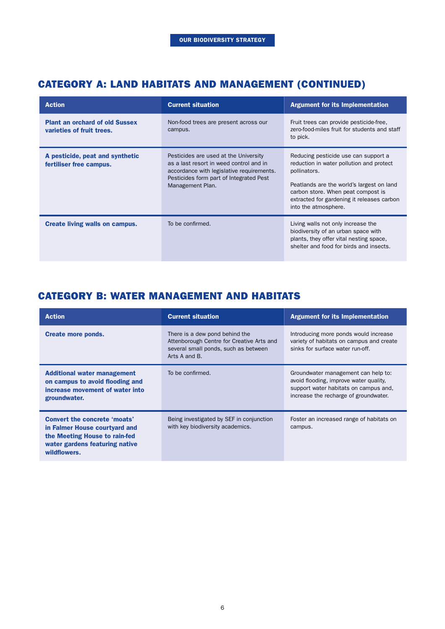### CATEGORY A: LAND HABITATS AND MANAGEMENT (CONTINUED)

| <b>Action</b>                                                      | <b>Current situation</b>                                                                                                                                                                     | <b>Argument for its Implementation</b>                                                                                                                                                                                                                    |
|--------------------------------------------------------------------|----------------------------------------------------------------------------------------------------------------------------------------------------------------------------------------------|-----------------------------------------------------------------------------------------------------------------------------------------------------------------------------------------------------------------------------------------------------------|
| <b>Plant an orchard of old Sussex</b><br>varieties of fruit trees. | Non-food trees are present across our<br>campus.                                                                                                                                             | Fruit trees can provide pesticide-free,<br>zero-food-miles fruit for students and staff<br>to pick.                                                                                                                                                       |
| A pesticide, peat and synthetic<br>fertiliser free campus.         | Pesticides are used at the University<br>as a last resort in weed control and in<br>accordance with legislative requirements.<br>Pesticides form part of Integrated Pest<br>Management Plan. | Reducing pesticide use can support a<br>reduction in water pollution and protect<br>pollinators.<br>Peatlands are the world's largest on land<br>carbon store. When peat compost is<br>extracted for gardening it releases carbon<br>into the atmosphere. |
| <b>Create living walls on campus.</b>                              | To be confirmed.                                                                                                                                                                             | Living walls not only increase the<br>biodiversity of an urban space with<br>plants, they offer vital nesting space,<br>shelter and food for birds and insects.                                                                                           |

## CATEGORY B: WATER MANAGEMENT AND HABITATS

| <b>Action</b>                                                                                                                                           | <b>Current situation</b>                                                                                                             | <b>Argument for its Implementation</b>                                                                                                                          |
|---------------------------------------------------------------------------------------------------------------------------------------------------------|--------------------------------------------------------------------------------------------------------------------------------------|-----------------------------------------------------------------------------------------------------------------------------------------------------------------|
| <b>Create more ponds.</b>                                                                                                                               | There is a dew pond behind the<br>Attenborough Centre for Creative Arts and<br>several small ponds, such as between<br>Arts A and B. | Introducing more ponds would increase<br>variety of habitats on campus and create<br>sinks for surface water run-off.                                           |
| <b>Additional water management</b><br>on campus to avoid flooding and<br>increase movement of water into<br>groundwater.                                | To be confirmed.                                                                                                                     | Groundwater management can help to:<br>avoid flooding, improve water quality,<br>support water habitats on campus and,<br>increase the recharge of groundwater. |
| <b>Convert the concrete 'moats'</b><br>in Falmer House courtyard and<br>the Meeting House to rain-fed<br>water gardens featuring native<br>wildflowers. | Being investigated by SEF in conjunction<br>with key biodiversity academics.                                                         | Foster an increased range of habitats on<br>campus.                                                                                                             |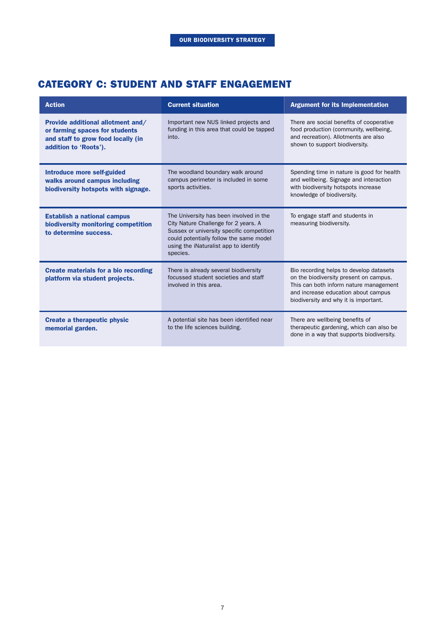### CATEGORY C: STUDENT AND STAFF ENGAGEMENT

| <b>Action</b>                                                                                                                      | <b>Current situation</b>                                                                                                                                                                                                     | <b>Argument for its Implementation</b>                                                                                                                                                                      |
|------------------------------------------------------------------------------------------------------------------------------------|------------------------------------------------------------------------------------------------------------------------------------------------------------------------------------------------------------------------------|-------------------------------------------------------------------------------------------------------------------------------------------------------------------------------------------------------------|
| Provide additional allotment and/<br>or farming spaces for students<br>and staff to grow food locally (in<br>addition to 'Roots'). | Important new NUS linked projects and<br>funding in this area that could be tapped<br>into.                                                                                                                                  | There are social benefits of cooperative<br>food production (community, wellbeing,<br>and recreation). Allotments are also<br>shown to support biodiversity.                                                |
| <b>Introduce more self-guided</b><br>walks around campus including<br>biodiversity hotspots with signage.                          | The woodland boundary walk around<br>campus perimeter is included in some<br>sports activities.                                                                                                                              | Spending time in nature is good for health<br>and wellbeing. Signage and interaction<br>with biodiversity hotspots increase<br>knowledge of biodiversity.                                                   |
| <b>Establish a national campus</b><br>biodiversity monitoring competition<br>to determine success.                                 | The University has been involved in the<br>City Nature Challenge for 2 years. A<br>Sussex or university specific competition<br>could potentially follow the same model<br>using the iNaturalist app to identify<br>species. | To engage staff and students in<br>measuring biodiversity.                                                                                                                                                  |
| <b>Create materials for a bio recording</b><br>platform via student projects.                                                      | There is already several biodiversity<br>focussed student societies and staff<br>involved in this area.                                                                                                                      | Bio recording helps to develop datasets<br>on the biodiversity present on campus.<br>This can both inform nature management<br>and increase education about campus<br>biodiversity and why it is important. |
| <b>Create a therapeutic physic</b><br>memorial garden.                                                                             | A potential site has been identified near<br>to the life sciences building.                                                                                                                                                  | There are wellbeing benefits of<br>therapeutic gardening, which can also be<br>done in a way that supports biodiversity.                                                                                    |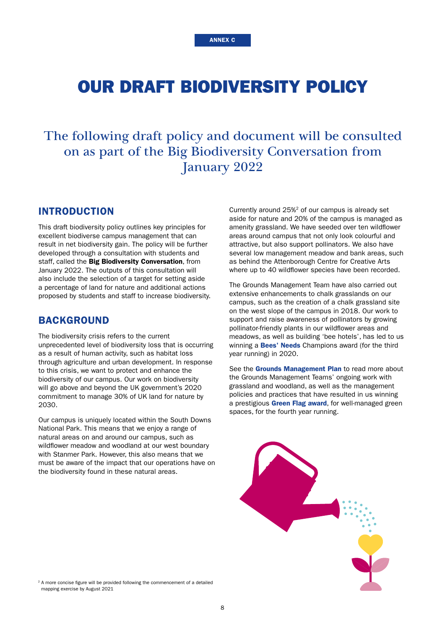## OUR DRAFT BIODIVERSITY POLICY

## The following draft policy and document will be consulted on as part of the Big Biodiversity Conversation from January 2022

#### INTRODUCTION

This draft biodiversity policy outlines key principles for excellent biodiverse campus management that can result in net biodiversity gain. The policy will be further developed through a consultation with students and staff, called the Big Biodiversity Conversation, from January 2022. The outputs of this consultation will also include the selection of a target for setting aside a percentage of land for nature and additional actions proposed by students and staff to increase biodiversity.

#### BACKGROUND

The biodiversity crisis refers to the current unprecedented level of biodiversity loss that is occurring as a result of human activity, such as habitat loss through agriculture and urban development. In response to this crisis, we want to protect and enhance the biodiversity of our campus. Our work on biodiversity will go above and beyond the UK government's 2020 commitment to manage 30% of UK land for nature by 2030.

Our campus is uniquely located within the South Downs National Park. This means that we enjoy a range of natural areas on and around our campus, such as wildflower meadow and woodland at our west boundary with Stanmer Park. However, this also means that we must be aware of the impact that our operations have on the biodiversity found in these natural areas.

Currently around 25%2 of our campus is already set aside for nature and 20% of the campus is managed as amenity grassland. We have seeded over ten wildflower areas around campus that not only look colourful and attractive, but also support pollinators. We also have several low management meadow and bank areas, such as behind the Attenborough Centre for Creative Arts where up to 40 wildflower species have been recorded.

The Grounds Management Team have also carried out extensive enhancements to chalk grasslands on our campus, such as the creation of a chalk grassland site on the west slope of the campus in 2018. Our work to support and raise awareness of pollinators by growing pollinator-friendly plants in our wildflower areas and meadows, as well as building 'bee hotels', has led to us winning a **[Bees' Needs](http://www.sussex.ac.uk/broadcast/read/50144)** Champions award (for the third year running) in 2020.

See the [Grounds Management Plan](http://www.sussex.ac.uk/sef/services/grounds/services) to read more about the Grounds Management Teams' ongoing work with grassland and woodland, as well as the management policies and practices that have resulted in us winning a prestigious [Green Flag award](http://www.sussex.ac.uk/broadcast/read/49118), for well-managed green spaces, for the fourth year running.



<sup>2</sup> A more concise figure will be provided following the commencement of a detailed mapping exercise by August 2021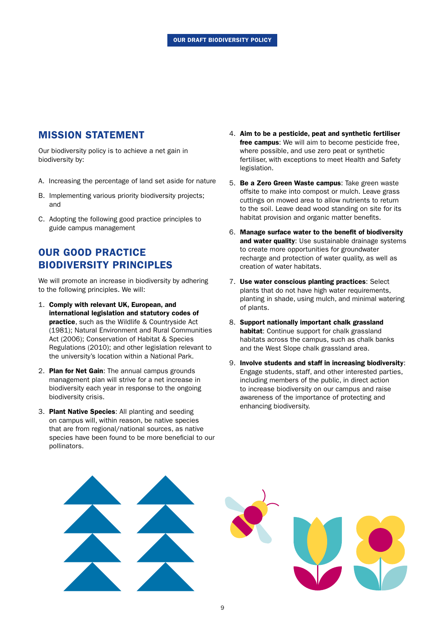### MISSION STATEMENT

Our biodiversity policy is to achieve a net gain in biodiversity by:

- A. Increasing the percentage of land set aside for nature
- B. Implementing various priority biodiversity projects; and
- C. Adopting the following good practice principles to guide campus management

### OUR GOOD PRACTICE BIODIVERSITY PRINCIPLES

We will promote an increase in biodiversity by adhering to the following principles. We will:

- 1. Comply with relevant UK, European, and international legislation and statutory codes of practice, such as the Wildlife & Countryside Act (1981); Natural Environment and Rural Communities Act (2006); Conservation of Habitat & Species Regulations (2010); and other legislation relevant to the university's location within a National Park.
- 2. Plan for Net Gain: The annual campus grounds management plan will strive for a net increase in biodiversity each year in response to the ongoing biodiversity crisis.
- 3. Plant Native Species: All planting and seeding on campus will, within reason, be native species that are from regional/national sources, as native species have been found to be more beneficial to our pollinators.
- 4. Aim to be a pesticide, peat and synthetic fertiliser free campus: We will aim to become pesticide free, where possible, and use zero peat or synthetic fertiliser, with exceptions to meet Health and Safety legislation.
- 5. Be a Zero Green Waste campus: Take green waste offsite to make into compost or mulch. Leave grass cuttings on mowed area to allow nutrients to return to the soil. Leave dead wood standing on site for its habitat provision and organic matter benefits.
- 6. Manage surface water to the benefit of biodiversity and water quality: Use sustainable drainage systems to create more opportunities for groundwater recharge and protection of water quality, as well as creation of water habitats.
- 7. Use water conscious planting practices: Select plants that do not have high water requirements, planting in shade, using mulch, and minimal watering of plants.
- 8. Support nationally important chalk grassland habitat: Continue support for chalk grassland habitats across the campus, such as chalk banks and the West Slope chalk grassland area.
- 9. Involve students and staff in increasing biodiversity: Engage students, staff, and other interested parties, including members of the public, in direct action to increase biodiversity on our campus and raise awareness of the importance of protecting and enhancing biodiversity.